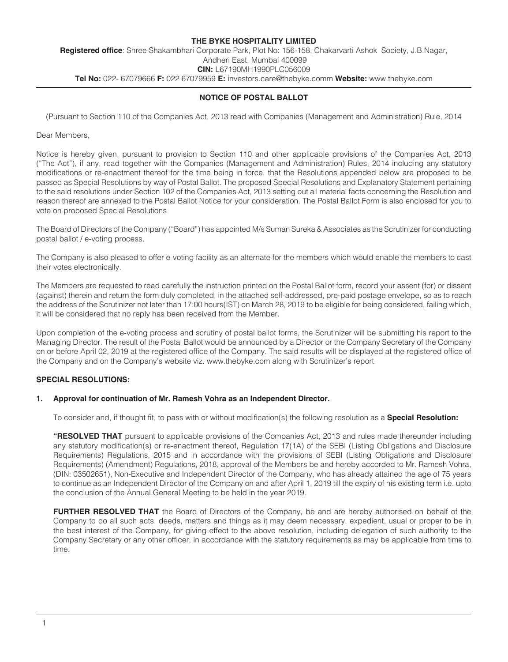#### **THE BYKE HOSPITALITY LIMITED Registered office**: Shree Shakambhari Corporate Park, Plot No: 156-158, Chakarvarti Ashok Society, J.B.Nagar, Andheri East, Mumbai 400099 **CIN:** L67190MH1990PLC056009 **Tel No:** 022- 67079666 **F:** 022 67079959 **E:** investors.care@thebyke.comm **Website:** www.thebyke.com

## **NOTICE OF POSTAL BALLOT**

(Pursuant to Section 110 of the Companies Act, 2013 read with Companies (Management and Administration) Rule, 2014

Dear Members,

Notice is hereby given, pursuant to provision to Section 110 and other applicable provisions of the Companies Act, 2013 ("The Act"), if any, read together with the Companies (Management and Administration) Rules, 2014 including any statutory modifications or re-enactment thereof for the time being in force, that the Resolutions appended below are proposed to be passed as Special Resolutions by way of Postal Ballot. The proposed Special Resolutions and Explanatory Statement pertaining to the said resolutions under Section 102 of the Companies Act, 2013 setting out all material facts concerning the Resolution and reason thereof are annexed to the Postal Ballot Notice for your consideration. The Postal Ballot Form is also enclosed for you to vote on proposed Special Resolutions

The Board of Directors of the Company ("Board") has appointed M/s Suman Sureka & Associates as the Scrutinizer for conducting postal ballot / e-voting process.

The Company is also pleased to offer e-voting facility as an alternate for the members which would enable the members to cast their votes electronically.

The Members are requested to read carefully the instruction printed on the Postal Ballot form, record your assent (for) or dissent (against) therein and return the form duly completed, in the attached self-addressed, pre-paid postage envelope, so as to reach the address of the Scrutinizer not later than 17:00 hours(IST) on March 28, 2019 to be eligible for being considered, failing which, it will be considered that no reply has been received from the Member.

Upon completion of the e-voting process and scrutiny of postal ballot forms, the Scrutinizer will be submitting his report to the Managing Director. The result of the Postal Ballot would be announced by a Director or the Company Secretary of the Company on or before April 02, 2019 at the registered office of the Company. The said results will be displayed at the registered office of the Company and on the Company's website viz. www.thebyke.com along with Scrutinizer's report.

#### **SPECIAL RESOLUTIONS:**

#### **1. Approval for continuation of Mr. Ramesh Vohra as an Independent Director.**

To consider and, if thought fit, to pass with or without modification(s) the following resolution as a **Special Resolution:** 

**"RESOLVED THAT** pursuant to applicable provisions of the Companies Act, 2013 and rules made thereunder including any statutory modification(s) or re-enactment thereof, Regulation 17(1A) of the SEBI (Listing Obligations and Disclosure Requirements) Regulations, 2015 and in accordance with the provisions of SEBI (Listing Obligations and Disclosure Requirements) (Amendment) Regulations, 2018, approval of the Members be and hereby accorded to Mr. Ramesh Vohra, (DIN: 03502651), Non-Executive and Independent Director of the Company, who has already attained the age of 75 years to continue as an Independent Director of the Company on and after April 1, 2019 till the expiry of his existing term i.e. upto the conclusion of the Annual General Meeting to be held in the year 2019.

**FURTHER RESOLVED THAT** the Board of Directors of the Company, be and are hereby authorised on behalf of the Company to do all such acts, deeds, matters and things as it may deem necessary, expedient, usual or proper to be in the best interest of the Company, for giving effect to the above resolution, including delegation of such authority to the Company Secretary or any other officer, in accordance with the statutory requirements as may be applicable from time to time.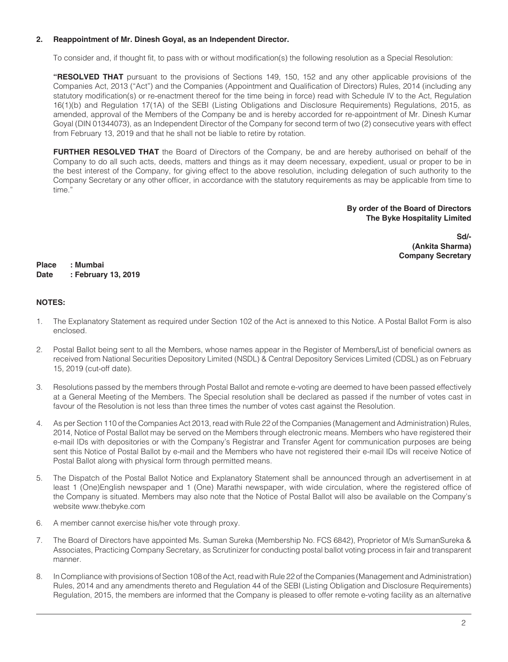### **2. Reappointment of Mr. Dinesh Goyal, as an Independent Director.**

To consider and, if thought fit, to pass with or without modification(s) the following resolution as a Special Resolution:

**"RESOLVED THAT** pursuant to the provisions of Sections 149, 150, 152 and any other applicable provisions of the Companies Act, 2013 ("Act") and the Companies (Appointment and Qualification of Directors) Rules, 2014 (including any statutory modification(s) or re-enactment thereof for the time being in force) read with Schedule IV to the Act, Regulation 16(1)(b) and Regulation 17(1A) of the SEBI (Listing Obligations and Disclosure Requirements) Regulations, 2015, as amended, approval of the Members of the Company be and is hereby accorded for re-appointment of Mr. Dinesh Kumar Goyal (DIN 01344073), as an Independent Director of the Company for second term of two (2) consecutive years with effect from February 13, 2019 and that he shall not be liable to retire by rotation.

**FURTHER RESOLVED THAT** the Board of Directors of the Company, be and are hereby authorised on behalf of the Company to do all such acts, deeds, matters and things as it may deem necessary, expedient, usual or proper to be in the best interest of the Company, for giving effect to the above resolution, including delegation of such authority to the Company Secretary or any other officer, in accordance with the statutory requirements as may be applicable from time to time."

#### **By order of the Board of Directors The Byke Hospitality Limited**

**Sd/- (Ankita Sharma) Company Secretary**

**Place : Mumbai Date : February 13, 2019**

## **NOTES:**

- 1. The Explanatory Statement as required under Section 102 of the Act is annexed to this Notice. A Postal Ballot Form is also enclosed.
- 2. Postal Ballot being sent to all the Members, whose names appear in the Register of Members/List of beneficial owners as received from National Securities Depository Limited (NSDL) & Central Depository Services Limited (CDSL) as on February 15, 2019 (cut-off date).
- 3. Resolutions passed by the members through Postal Ballot and remote e-voting are deemed to have been passed effectively at a General Meeting of the Members. The Special resolution shall be declared as passed if the number of votes cast in favour of the Resolution is not less than three times the number of votes cast against the Resolution.
- 4. As per Section 110 of the Companies Act 2013, read with Rule 22 of the Companies (Management and Administration) Rules, 2014, Notice of Postal Ballot may be served on the Members through electronic means. Members who have registered their e-mail IDs with depositories or with the Company's Registrar and Transfer Agent for communication purposes are being sent this Notice of Postal Ballot by e-mail and the Members who have not registered their e-mail IDs will receive Notice of Postal Ballot along with physical form through permitted means.
- 5. The Dispatch of the Postal Ballot Notice and Explanatory Statement shall be announced through an advertisement in at least 1 (One)English newspaper and 1 (One) Marathi newspaper, with wide circulation, where the registered office of the Company is situated. Members may also note that the Notice of Postal Ballot will also be available on the Company's website www.thebyke.com
- 6. A member cannot exercise his/her vote through proxy.
- 7. The Board of Directors have appointed Ms. Suman Sureka (Membership No. FCS 6842), Proprietor of M/s SumanSureka & Associates, Practicing Company Secretary, as Scrutinizer for conducting postal ballot voting process in fair and transparent manner.
- 8. In Compliance with provisions of Section 108 of the Act, read with Rule 22 of the Companies (Management and Administration) Rules, 2014 and any amendments thereto and Regulation 44 of the SEBI (Listing Obligation and Disclosure Requirements) Regulation, 2015, the members are informed that the Company is pleased to offer remote e-voting facility as an alternative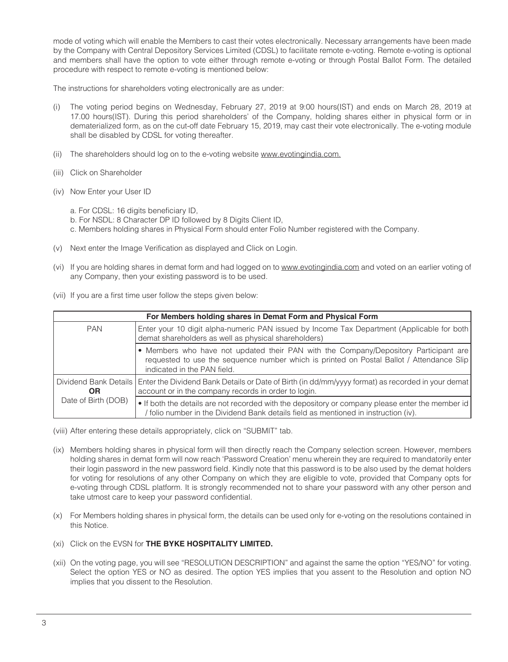mode of voting which will enable the Members to cast their votes electronically. Necessary arrangements have been made by the Company with Central Depository Services Limited (CDSL) to facilitate remote e-voting. Remote e-voting is optional and members shall have the option to vote either through remote e-voting or through Postal Ballot Form. The detailed procedure with respect to remote e-voting is mentioned below:

The instructions for shareholders voting electronically are as under:

- (i) The voting period begins on Wednesday, February 27, 2019 at 9:00 hours(IST) and ends on March 28, 2019 at 17.00 hours(IST). During this period shareholders' of the Company, holding shares either in physical form or in dematerialized form, as on the cut-off date February 15, 2019, may cast their vote electronically. The e-voting module shall be disabled by CDSL for voting thereafter.
- (ii) The shareholders should log on to the e-voting website www.evotingindia.com.
- (iii) Click on Shareholder
- (iv) Now Enter your User ID
	- a. For CDSL: 16 digits beneficiary ID,
	- b. For NSDL: 8 Character DP ID followed by 8 Digits Client ID,
	- c. Members holding shares in Physical Form should enter Folio Number registered with the Company.
- (v) Next enter the Image Verification as displayed and Click on Login.
- (vi) If you are holding shares in demat form and had logged on to www.evotingindia.com and voted on an earlier voting of any Company, then your existing password is to be used.
- (vii) If you are a first time user follow the steps given below:

| For Members holding shares in Demat Form and Physical Form |                                                                                                                                                                                                                 |  |  |  |
|------------------------------------------------------------|-----------------------------------------------------------------------------------------------------------------------------------------------------------------------------------------------------------------|--|--|--|
| <b>PAN</b>                                                 | Enter your 10 digit alpha-numeric PAN issued by Income Tax Department (Applicable for both)<br>demat shareholders as well as physical shareholders)                                                             |  |  |  |
|                                                            | • Members who have not updated their PAN with the Company/Depository Participant are<br>requested to use the sequence number which is printed on Postal Ballot / Attendance Slip<br>indicated in the PAN field. |  |  |  |
| Dividend Bank Details  <br>ΟR                              | Enter the Dividend Bank Details or Date of Birth (in dd/mm/yyyy format) as recorded in your demat  <br>account or in the company records in order to login.                                                     |  |  |  |
| Date of Birth (DOB)                                        | • If both the details are not recorded with the depository or company please enter the member id<br>folio number in the Dividend Bank details field as mentioned in instruction (iv).                           |  |  |  |

- (viii) After entering these details appropriately, click on "SUBMIT" tab.
- (ix) Members holding shares in physical form will then directly reach the Company selection screen. However, members holding shares in demat form will now reach 'Password Creation' menu wherein they are required to mandatorily enter their login password in the new password field. Kindly note that this password is to be also used by the demat holders for voting for resolutions of any other Company on which they are eligible to vote, provided that Company opts for e-voting through CDSL platform. It is strongly recommended not to share your password with any other person and take utmost care to keep your password confidential.
- (x) For Members holding shares in physical form, the details can be used only for e-voting on the resolutions contained in this Notice.
- (xi) Click on the EVSN for **THE BYKE HOSPITALITY LIMITED.**
- (xii) On the voting page, you will see "RESOLUTION DESCRIPTION" and against the same the option "YES/NO" for voting. Select the option YES or NO as desired. The option YES implies that you assent to the Resolution and option NO implies that you dissent to the Resolution.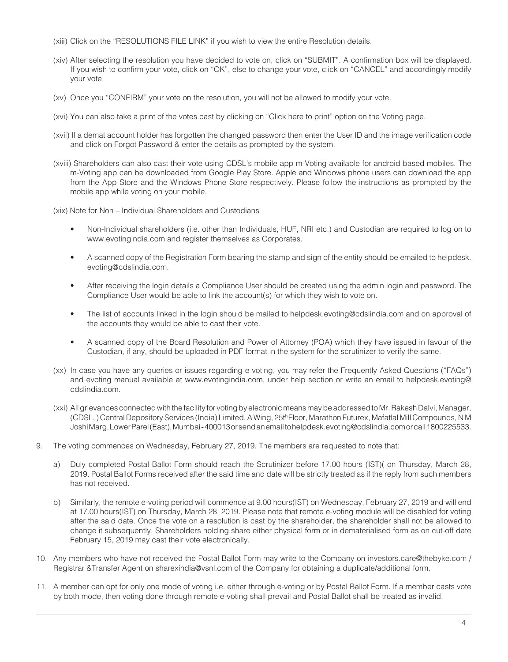- (xiii) Click on the "RESOLUTIONS FILE LINK" if you wish to view the entire Resolution details.
- (xiv) After selecting the resolution you have decided to vote on, click on "SUBMIT". A confirmation box will be displayed. If you wish to confirm your vote, click on "OK", else to change your vote, click on "CANCEL" and accordingly modify your vote.
- (xv) Once you "CONFIRM" your vote on the resolution, you will not be allowed to modify your vote.
- (xvi) You can also take a print of the votes cast by clicking on "Click here to print" option on the Voting page.
- (xvii) If a demat account holder has forgotten the changed password then enter the User ID and the image verification code and click on Forgot Password & enter the details as prompted by the system.
- (xviii) Shareholders can also cast their vote using CDSL's mobile app m-Voting available for android based mobiles. The m-Voting app can be downloaded from Google Play Store. Apple and Windows phone users can download the app from the App Store and the Windows Phone Store respectively. Please follow the instructions as prompted by the mobile app while voting on your mobile.
- (xix) Note for Non Individual Shareholders and Custodians
	- Non-Individual shareholders (i.e. other than Individuals, HUF, NRI etc.) and Custodian are required to log on to www.evotingindia.com and register themselves as Corporates.
	- A scanned copy of the Registration Form bearing the stamp and sign of the entity should be emailed to helpdesk. evoting@cdslindia.com.
	- After receiving the login details a Compliance User should be created using the admin login and password. The Compliance User would be able to link the account(s) for which they wish to vote on.
	- The list of accounts linked in the login should be mailed to helpdesk.evoting@cdslindia.com and on approval of the accounts they would be able to cast their vote.
	- A scanned copy of the Board Resolution and Power of Attorney (POA) which they have issued in favour of the Custodian, if any, should be uploaded in PDF format in the system for the scrutinizer to verify the same.
- (xx) In case you have any queries or issues regarding e-voting, you may refer the Frequently Asked Questions ("FAQs") and evoting manual available at www.evotingindia.com, under help section or write an email to helpdesk.evoting@ cdslindia.com.
- (xxi) All grievances connected with the facility for voting by electronic means may be addressed to Mr. Rakesh Dalvi, Manager, (CDSL, ) Central Depository Services (India) Limited, A Wing, 25th Floor, Marathon Futurex, Mafatlal Mill Compounds, N M Joshi Marg, Lower Parel (East), Mumbai - 400013 or send an email to helpdesk.evoting@cdslindia.com or call 1800225533.
- 9. The voting commences on Wednesday, February 27, 2019. The members are requested to note that:
	- a) Duly completed Postal Ballot Form should reach the Scrutinizer before 17.00 hours (IST)( on Thursday, March 28, 2019. Postal Ballot Forms received after the said time and date will be strictly treated as if the reply from such members has not received.
	- b) Similarly, the remote e-voting period will commence at 9.00 hours(IST) on Wednesday, February 27, 2019 and will end at 17.00 hours(IST) on Thursday, March 28, 2019. Please note that remote e-voting module will be disabled for voting after the said date. Once the vote on a resolution is cast by the shareholder, the shareholder shall not be allowed to change it subsequently. Shareholders holding share either physical form or in dematerialised form as on cut-off date February 15, 2019 may cast their vote electronically.
- 10. Any members who have not received the Postal Ballot Form may write to the Company on investors.care@thebyke.com / Registrar &Transfer Agent on sharexindia@vsnl.com of the Company for obtaining a duplicate/additional form.
- 11. A member can opt for only one mode of voting i.e. either through e-voting or by Postal Ballot Form. If a member casts vote by both mode, then voting done through remote e-voting shall prevail and Postal Ballot shall be treated as invalid.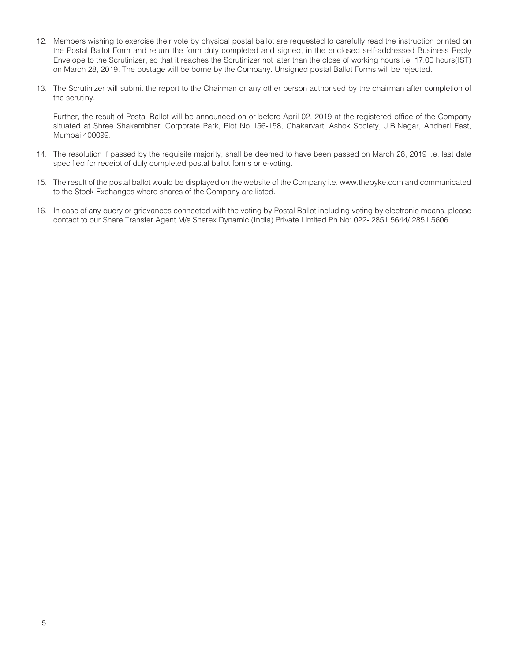- 12. Members wishing to exercise their vote by physical postal ballot are requested to carefully read the instruction printed on the Postal Ballot Form and return the form duly completed and signed, in the enclosed self-addressed Business Reply Envelope to the Scrutinizer, so that it reaches the Scrutinizer not later than the close of working hours i.e. 17.00 hours(IST) on March 28, 2019. The postage will be borne by the Company. Unsigned postal Ballot Forms will be rejected.
- 13. The Scrutinizer will submit the report to the Chairman or any other person authorised by the chairman after completion of the scrutiny.

Further, the result of Postal Ballot will be announced on or before April 02, 2019 at the registered office of the Company situated at Shree Shakambhari Corporate Park, Plot No 156-158, Chakarvarti Ashok Society, J.B.Nagar, Andheri East, Mumbai 400099.

- 14. The resolution if passed by the requisite majority, shall be deemed to have been passed on March 28, 2019 i.e. last date specified for receipt of duly completed postal ballot forms or e-voting.
- 15. The result of the postal ballot would be displayed on the website of the Company i.e. www.thebyke.com and communicated to the Stock Exchanges where shares of the Company are listed.
- 16. In case of any query or grievances connected with the voting by Postal Ballot including voting by electronic means, please contact to our Share Transfer Agent M/s Sharex Dynamic (India) Private Limited Ph No: 022- 2851 5644/ 2851 5606.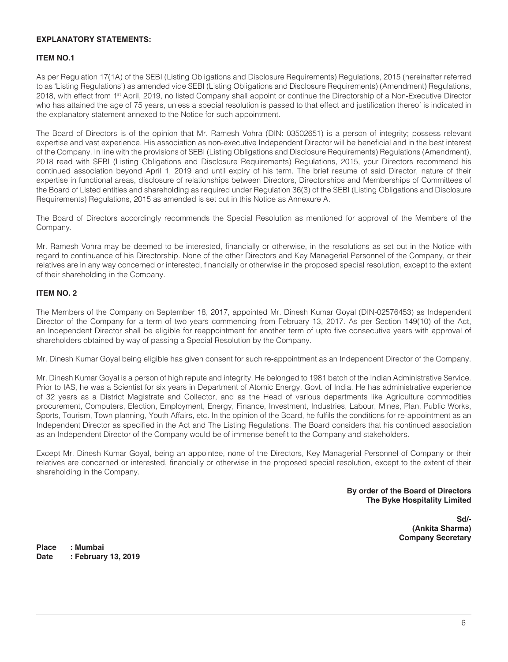### **EXPLANATORY STATEMENTS:**

## **ITEM NO.1**

As per Regulation 17(1A) of the SEBI (Listing Obligations and Disclosure Requirements) Regulations, 2015 (hereinafter referred to as 'Listing Regulations') as amended vide SEBI (Listing Obligations and Disclosure Requirements) (Amendment) Regulations, 2018, with effect from 1st April, 2019, no listed Company shall appoint or continue the Directorship of a Non-Executive Director who has attained the age of 75 years, unless a special resolution is passed to that effect and justification thereof is indicated in the explanatory statement annexed to the Notice for such appointment.

The Board of Directors is of the opinion that Mr. Ramesh Vohra (DIN: 03502651) is a person of integrity; possess relevant expertise and vast experience. His association as non-executive Independent Director will be beneficial and in the best interest of the Company. In line with the provisions of SEBI (Listing Obligations and Disclosure Requirements) Regulations (Amendment), 2018 read with SEBI (Listing Obligations and Disclosure Requirements) Regulations, 2015, your Directors recommend his continued association beyond April 1, 2019 and until expiry of his term. The brief resume of said Director, nature of their expertise in functional areas, disclosure of relationships between Directors, Directorships and Memberships of Committees of the Board of Listed entities and shareholding as required under Regulation 36(3) of the SEBI (Listing Obligations and Disclosure Requirements) Regulations, 2015 as amended is set out in this Notice as Annexure A.

The Board of Directors accordingly recommends the Special Resolution as mentioned for approval of the Members of the Company.

Mr. Ramesh Vohra may be deemed to be interested, financially or otherwise, in the resolutions as set out in the Notice with regard to continuance of his Directorship. None of the other Directors and Key Managerial Personnel of the Company, or their relatives are in any way concerned or interested, financially or otherwise in the proposed special resolution, except to the extent of their shareholding in the Company.

# **ITEM NO. 2**

The Members of the Company on September 18, 2017, appointed Mr. Dinesh Kumar Goyal (DIN-02576453) as Independent Director of the Company for a term of two years commencing from February 13, 2017. As per Section 149(10) of the Act, an Independent Director shall be eligible for reappointment for another term of upto five consecutive years with approval of shareholders obtained by way of passing a Special Resolution by the Company.

Mr. Dinesh Kumar Goyal being eligible has given consent for such re-appointment as an Independent Director of the Company.

Mr. Dinesh Kumar Goyal is a person of high repute and integrity. He belonged to 1981 batch of the Indian Administrative Service. Prior to IAS, he was a Scientist for six years in Department of Atomic Energy, Govt. of India. He has administrative experience of 32 years as a District Magistrate and Collector, and as the Head of various departments like Agriculture commodities procurement, Computers, Election, Employment, Energy, Finance, Investment, Industries, Labour, Mines, Plan, Public Works, Sports, Tourism, Town planning, Youth Affairs, etc. In the opinion of the Board, he fulfils the conditions for re-appointment as an Independent Director as specified in the Act and The Listing Regulations. The Board considers that his continued association as an Independent Director of the Company would be of immense benefit to the Company and stakeholders.

Except Mr. Dinesh Kumar Goyal, being an appointee, none of the Directors, Key Managerial Personnel of Company or their relatives are concerned or interested, financially or otherwise in the proposed special resolution, except to the extent of their shareholding in the Company.

> **By order of the Board of Directors The Byke Hospitality Limited**

> > **Sd/- (Ankita Sharma) Company Secretary**

**Place : Mumbai Date : February 13, 2019**